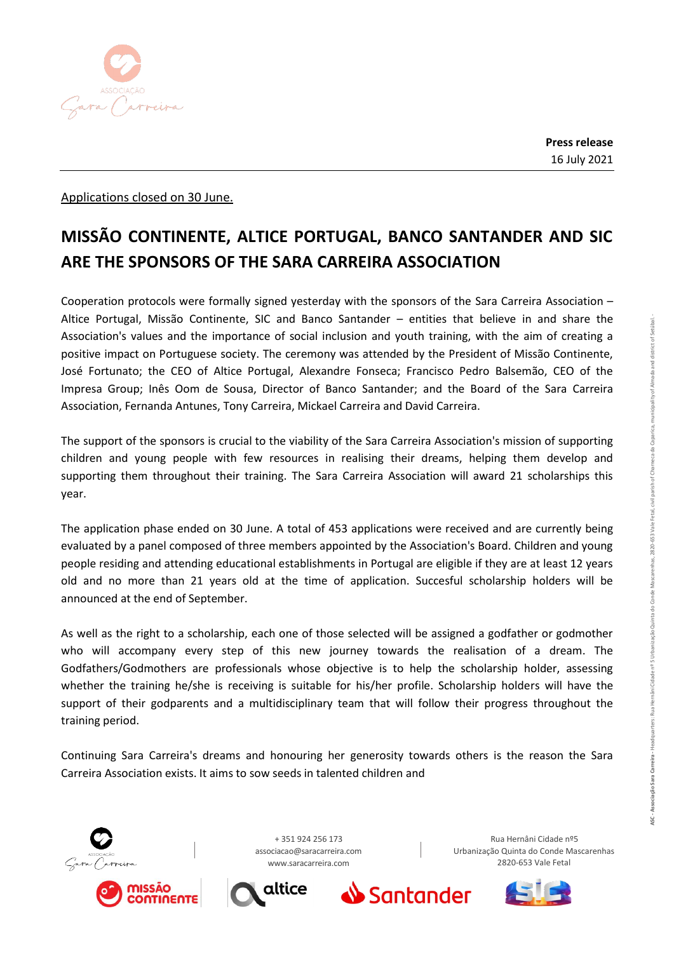

Applications closed on 30 June.

## **MISSÃO CONTINENTE, ALTICE PORTUGAL, BANCO SANTANDER AND SIC ARE THE SPONSORS OF THE SARA CARREIRA ASSOCIATION**

Cooperation protocols were formally signed yesterday with the sponsors of the Sara Carreira Association – Altice Portugal, Missão Continente, SIC and Banco Santander – entities that believe in and share the Association's values and the importance of social inclusion and youth training, with the aim of creating a positive impact on Portuguese society. The ceremony was attended by the President of Missão Continente, José Fortunato; the CEO of Altice Portugal, Alexandre Fonseca; Francisco Pedro Balsemão, CEO of the Impresa Group; Inês Oom de Sousa, Director of Banco Santander; and the Board of the Sara Carreira Association, Fernanda Antunes, Tony Carreira, Mickael Carreira and David Carreira.

The support of the sponsors is crucial to the viability of the Sara Carreira Association's mission of supporting children and young people with few resources in realising their dreams, helping them develop and supporting them throughout their training. The Sara Carreira Association will award 21 scholarships this year.

The application phase ended on 30 June. A total of 453 applications were received and are currently being evaluated by a panel composed of three members appointed by the Association's Board. Children and young people residing and attending educational establishments in Portugal are eligible if they are at least 12 years old and no more than 21 years old at the time of application. Succesful scholarship holders will be announced at the end of September.

As well as the right to a scholarship, each one of those selected will be assigned a godfather or godmother who will accompany every step of this new journey towards the realisation of a dream. The Godfathers/Godmothers are professionals whose objective is to help the scholarship holder, assessing whether the training he/she is receiving is suitable for his/her profile. Scholarship holders will have the support of their godparents and a multidisciplinary team that will follow their progress throughout the training period.

Continuing Sara Carreira's dreams and honouring her generosity towards others is the reason the Sara Carreira Association exists. It aims to sow seeds in talented children and





+ 351 924 256 173 [associacao@saracarreira.com](mailto:asssociacao@saracarreira.com) [www.saracarreira.com](http://www.saracarreira.com/)







Rua Hernâni Cidade nº5 Urbanização Quinta do Conde Mascarenhas 2820-653 Vale Fetal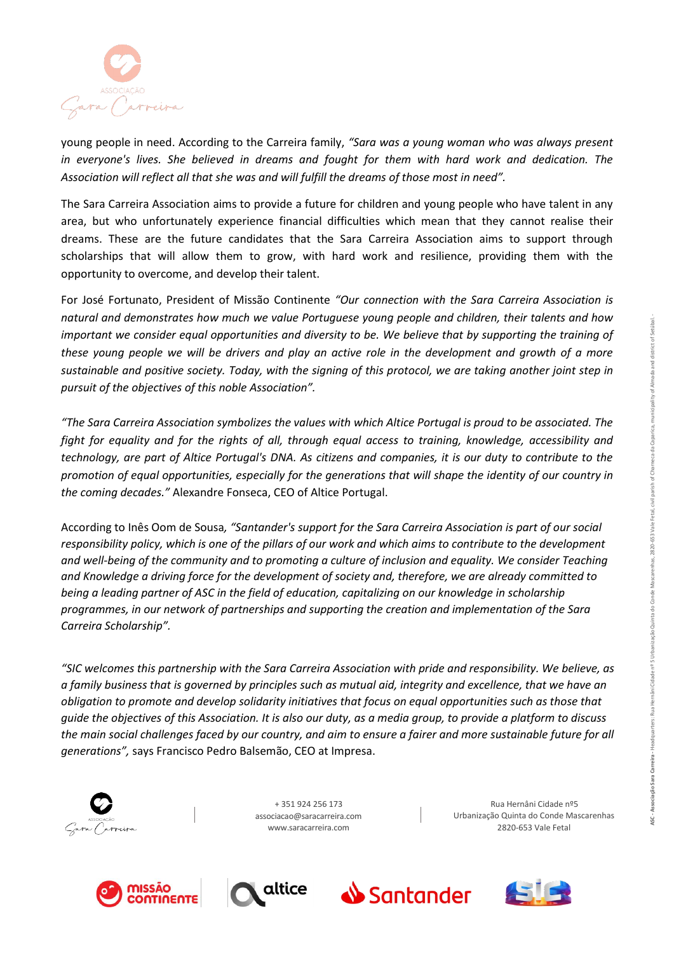ASC - Associata Carreira - Heedquertes: Rua Hernfan (Clade of 9 Urbanizado Onde Mascaenhas, 2820-63 vole Fetal, or (Unidation of Chancea da Caparica, municipality of Amada and district of Setbla).<br>ASC - Associates

Associação Sara Carreira - Headquarters: Rua Hemâni Clade nº 5 Urbaniação Quinta do Conde Mascarenhas, 2820-63 Vale Fetal, civil parish of Chameca da Caparica, municipality of Almada and district of Setúbal

ASC-



young people in need. According to the Carreira family, *"Sara was a young woman who was always present in everyone's lives. She believed in dreams and fought for them with hard work and dedication. The Association will reflect all that she was and will fulfill the dreams of those most in need".*

The Sara Carreira Association aims to provide a future for children and young people who have talent in any area, but who unfortunately experience financial difficulties which mean that they cannot realise their dreams. These are the future candidates that the Sara Carreira Association aims to support through scholarships that will allow them to grow, with hard work and resilience, providing them with the opportunity to overcome, and develop their talent.

For José Fortunato, President of Missão Continente *"Our connection with the Sara Carreira Association is natural and demonstrates how much we value Portuguese young people and children, their talents and how important we consider equal opportunities and diversity to be. We believe that by supporting the training of these young people we will be drivers and play an active role in the development and growth of a more sustainable and positive society. Today, with the signing of this protocol, we are taking another joint step in pursuit of the objectives of this noble Association".*

*"The Sara Carreira Association symbolizes the values with which Altice Portugal is proud to be associated. The fight for equality and for the rights of all, through equal access to training, knowledge, accessibility and technology, are part of Altice Portugal's DNA. As citizens and companies, it is our duty to contribute to the promotion of equal opportunities, especially for the generations that will shape the identity of our country in the coming decades."* Alexandre Fonseca, CEO of Altice Portugal.

According to Inês Oom de Sousa*, "Santander's support for the Sara Carreira Association is part of our social responsibility policy, which is one of the pillars of our work and which aims to contribute to the development and well-being of the community and to promoting a culture of inclusion and equality. We consider Teaching and Knowledge a driving force for the development of society and, therefore, we are already committed to being a leading partner of ASC in the field of education, capitalizing on our knowledge in scholarship programmes, in our network of partnerships and supporting the creation and implementation of the Sara Carreira Scholarship".*

*"SIC welcomes this partnership with the Sara Carreira Association with pride and responsibility. We believe, as a family business that is governed by principles such as mutual aid, integrity and excellence, that we have an obligation to promote and develop solidarity initiatives that focus on equal opportunities such as those that guide the objectives of this Association. It is also our duty, as a media group, to provide a platform to discuss the main social challenges faced by our country, and aim to ensure a fairer and more sustainable future for all generations",* says Francisco Pedro Balsemão, CEO at Impresa.



+ 351 924 256 173 [associacao@saracarreira.com](mailto:asssociacao@saracarreira.com) [www.saracarreira.com](http://www.saracarreira.com/)

Rua Hernâni Cidade nº5 Urbanização Quinta do Conde Mascarenhas 2820-653 Vale Fetal